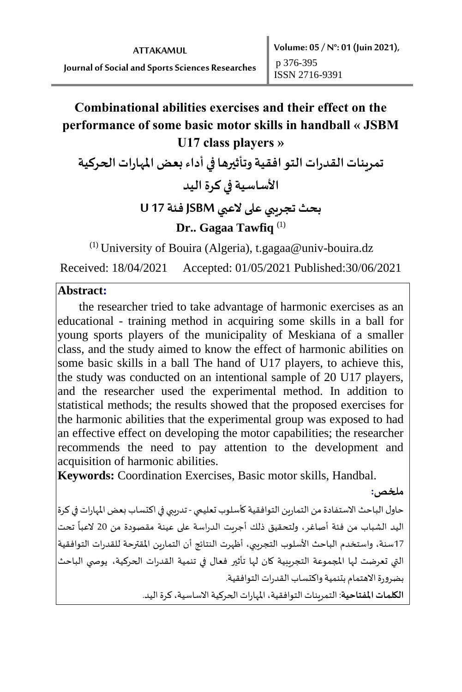# **Combinational abilities exercises and their effect on the performance of some basic motor skills in handball « JSBM U17 class players »**

تمرينات القدرات التو افقية وتأثيرها في أداء بعض المهارات الحركية **األساسية في كرة اليد بحث تجريبي على العبي JSBMفئة 17 U** 

### **Dr.. Gagaa Tawfiq** (1)

 $(1)$  University of Bouira (Algeria), t.gagaa@univ-bouira.dz

Received: 18/04/2021 Accepted: 01/05/2021 Published:30/06/2021

#### **Abstract:**

 the researcher tried to take advantage of harmonic exercises as an educational - training method in acquiring some skills in a ball for young sports players of the municipality of Meskiana of a smaller class, and the study aimed to know the effect of harmonic abilities on some basic skills in a ball The hand of U17 players, to achieve this, the study was conducted on an intentional sample of 20 U17 players, and the researcher used the experimental method. In addition to statistical methods; the results showed that the proposed exercises for the harmonic abilities that the experimental group was exposed to had an effective effect on developing the motor capabilities; the researcher recommends the need to pay attention to the development and acquisition of harmonic abilities.

**Keywords:** Coordination Exercises, Basic motor skills, Handbal.

**ملخص:** 

حاول الباحث الاستفادة من التمارين التوافقية كأسلوب تعليمي - تدريبي في اكتساب بعض المهارات في كرة اليد الشباب من فئة أصاغر، ولتحقيق ذلك أجريت الدراسة على عينة مقصودة من 20 تحت العبا ً<br>أ 17سنة، واستخدم الباحث األسلوب التجريبي، أظهرت النتائج أن التمارين املقترحة للقدرات التوافقية التي تعرضت لها املجموعة التجريبية كان لها تأثير فعال في تنمية القدرات الحركية، يوص ي الباحث بضرورة الاهتمام بتنمية واكتساب القدرات التوافقية. **الكلمات املفتاحية**: التمريناتالتوافقية، املهاراتالحركيةاالساسية،كرة اليد.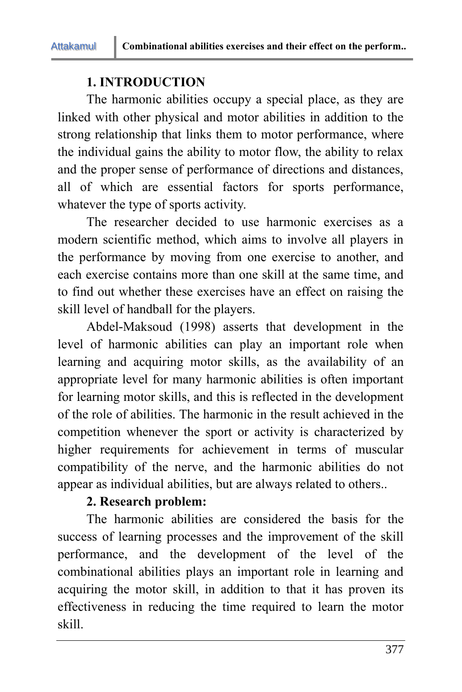# **1. INTRODUCTION**

The harmonic abilities occupy a special place, as they are linked with other physical and motor abilities in addition to the strong relationship that links them to motor performance, where the individual gains the ability to motor flow, the ability to relax and the proper sense of performance of directions and distances, all of which are essential factors for sports performance, whatever the type of sports activity.

The researcher decided to use harmonic exercises as a modern scientific method, which aims to involve all players in the performance by moving from one exercise to another, and each exercise contains more than one skill at the same time, and to find out whether these exercises have an effect on raising the skill level of handball for the players.

Abdel-Maksoud (1998) asserts that development in the level of harmonic abilities can play an important role when learning and acquiring motor skills, as the availability of an appropriate level for many harmonic abilities is often important for learning motor skills, and this is reflected in the development of the role of abilities. The harmonic in the result achieved in the competition whenever the sport or activity is characterized by higher requirements for achievement in terms of muscular compatibility of the nerve, and the harmonic abilities do not appear as individual abilities, but are always related to others..

### **2. Research problem:**

The harmonic abilities are considered the basis for the success of learning processes and the improvement of the skill performance, and the development of the level of the combinational abilities plays an important role in learning and acquiring the motor skill, in addition to that it has proven its effectiveness in reducing the time required to learn the motor skill.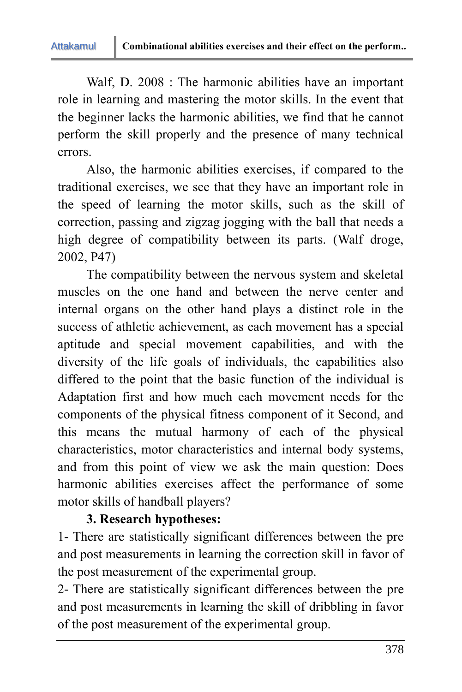Attakamul

Walf, D. 2008 : The harmonic abilities have an important role in learning and mastering the motor skills. In the event that the beginner lacks the harmonic abilities, we find that he cannot perform the skill properly and the presence of many technical errors.

Also, the harmonic abilities exercises, if compared to the traditional exercises, we see that they have an important role in the speed of learning the motor skills, such as the skill of correction, passing and zigzag jogging with the ball that needs a high degree of compatibility between its parts. (Walf droge, 2002, P47)

The compatibility between the nervous system and skeletal muscles on the one hand and between the nerve center and internal organs on the other hand plays a distinct role in the success of athletic achievement, as each movement has a special aptitude and special movement capabilities, and with the diversity of the life goals of individuals, the capabilities also differed to the point that the basic function of the individual is Adaptation first and how much each movement needs for the components of the physical fitness component of it Second, and this means the mutual harmony of each of the physical characteristics, motor characteristics and internal body systems, and from this point of view we ask the main question: Does harmonic abilities exercises affect the performance of some motor skills of handball players?

### **3. Research hypotheses:**

1- There are statistically significant differences between the pre and post measurements in learning the correction skill in favor of the post measurement of the experimental group.

2- There are statistically significant differences between the pre and post measurements in learning the skill of dribbling in favor of the post measurement of the experimental group.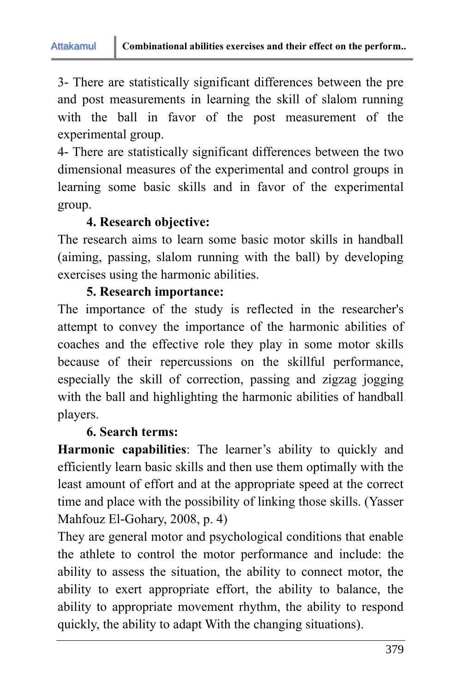3- There are statistically significant differences between the pre and post measurements in learning the skill of slalom running with the ball in favor of the post measurement of the experimental group.

4- There are statistically significant differences between the two dimensional measures of the experimental and control groups in learning some basic skills and in favor of the experimental group.

# **4. Research objective:**

The research aims to learn some basic motor skills in handball (aiming, passing, slalom running with the ball) by developing exercises using the harmonic abilities.

### **5. Research importance:**

The importance of the study is reflected in the researcher's attempt to convey the importance of the harmonic abilities of coaches and the effective role they play in some motor skills because of their repercussions on the skillful performance, especially the skill of correction, passing and zigzag jogging with the ball and highlighting the harmonic abilities of handball players.

### **6. Search terms:**

**Harmonic capabilities**: The learner's ability to quickly and efficiently learn basic skills and then use them optimally with the least amount of effort and at the appropriate speed at the correct time and place with the possibility of linking those skills. (Yasser Mahfouz El-Gohary, 2008, p. 4)

They are general motor and psychological conditions that enable the athlete to control the motor performance and include: the ability to assess the situation, the ability to connect motor, the ability to exert appropriate effort, the ability to balance, the ability to appropriate movement rhythm, the ability to respond quickly, the ability to adapt With the changing situations).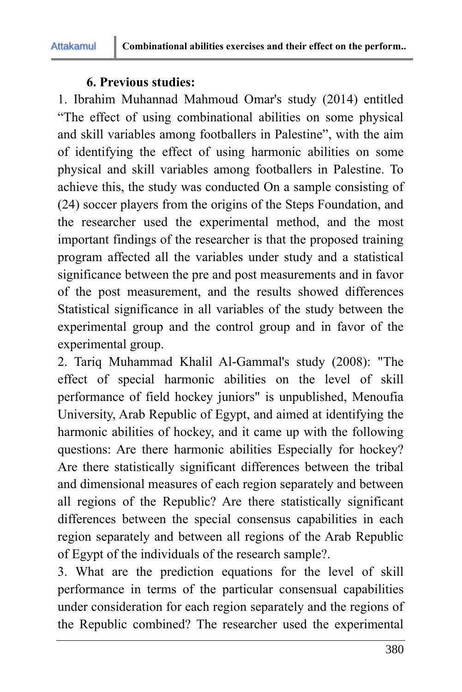### **6. Previous studies:**

1. Ibrahim Muhannad Mahmoud Omar's study (2014) entitled "The effect of using combinational abilities on some physical and skill variables among footballers in Palestine", with the aim of identifying the effect of using harmonic abilities on some physical and skill variables among footballers in Palestine. To achieve this, the study was conducted On a sample consisting of (24) soccer players from the origins of the Steps Foundation, and the researcher used the experimental method, and the most important findings of the researcher is that the proposed training program affected all the variables under study and a statistical significance between the pre and post measurements and in favor of the post measurement, and the results showed differences Statistical significance in all variables of the study between the experimental group and the control group and in favor of the experimental group.

2. Tariq Muhammad Khalil Al-Gammal's study (2008): "The effect of special harmonic abilities on the level of skill performance of field hockey juniors" is unpublished, Menoufia University, Arab Republic of Egypt, and aimed at identifying the harmonic abilities of hockey, and it came up with the following questions: Are there harmonic abilities Especially for hockey? Are there statistically significant differences between the tribal and dimensional measures of each region separately and between all regions of the Republic? Are there statistically significant differences between the special consensus capabilities in each region separately and between all regions of the Arab Republic of Egypt of the individuals of the research sample?.

3. What are the prediction equations for the level of skill performance in terms of the particular consensual capabilities under consideration for each region separately and the regions of the Republic combined? The researcher used the experimental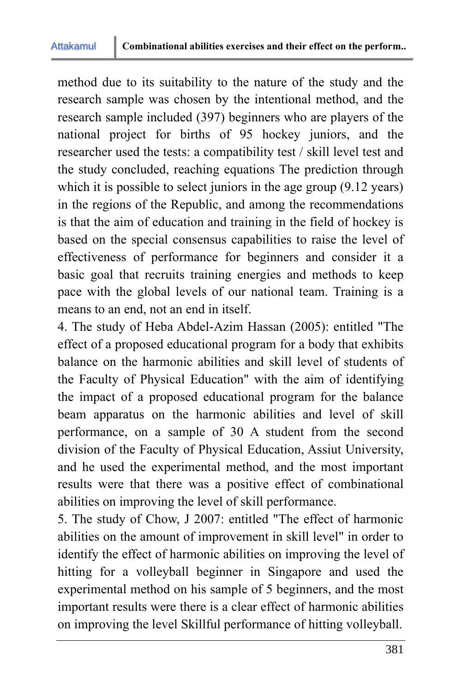method due to its suitability to the nature of the study and the research sample was chosen by the intentional method, and the research sample included (397) beginners who are players of the national project for births of 95 hockey juniors, and the researcher used the tests: a compatibility test / skill level test and the study concluded, reaching equations The prediction through which it is possible to select juniors in the age group  $(9.12 \text{ years})$ in the regions of the Republic, and among the recommendations is that the aim of education and training in the field of hockey is based on the special consensus capabilities to raise the level of effectiveness of performance for beginners and consider it a basic goal that recruits training energies and methods to keep pace with the global levels of our national team. Training is a means to an end, not an end in itself.

4. The study of Heba Abdel-Azim Hassan (2005): entitled "The effect of a proposed educational program for a body that exhibits balance on the harmonic abilities and skill level of students of the Faculty of Physical Education" with the aim of identifying the impact of a proposed educational program for the balance beam apparatus on the harmonic abilities and level of skill performance, on a sample of 30 A student from the second division of the Faculty of Physical Education, Assiut University, and he used the experimental method, and the most important results were that there was a positive effect of combinational abilities on improving the level of skill performance.

5. The study of Chow, J 2007: entitled "The effect of harmonic abilities on the amount of improvement in skill level" in order to identify the effect of harmonic abilities on improving the level of hitting for a volleyball beginner in Singapore and used the experimental method on his sample of 5 beginners, and the most important results were there is a clear effect of harmonic abilities on improving the level Skillful performance of hitting volleyball.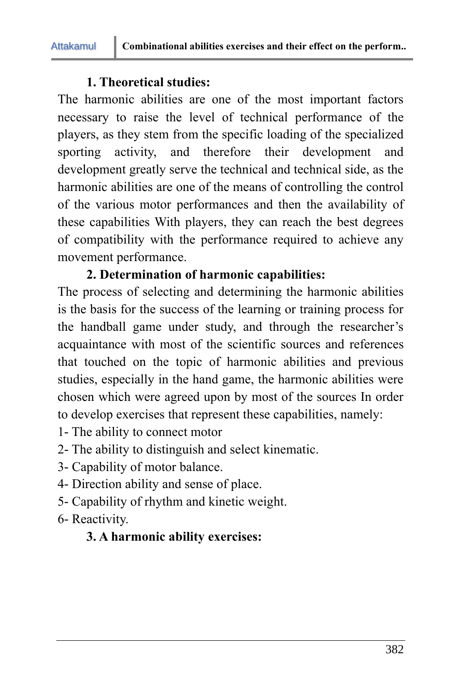# **1. Theoretical studies:**

The harmonic abilities are one of the most important factors necessary to raise the level of technical performance of the players, as they stem from the specific loading of the specialized sporting activity, and therefore their development and development greatly serve the technical and technical side, as the harmonic abilities are one of the means of controlling the control of the various motor performances and then the availability of these capabilities With players, they can reach the best degrees of compatibility with the performance required to achieve any movement performance.

# **2. Determination of harmonic capabilities:**

The process of selecting and determining the harmonic abilities is the basis for the success of the learning or training process for the handball game under study, and through the researcher's acquaintance with most of the scientific sources and references that touched on the topic of harmonic abilities and previous studies, especially in the hand game, the harmonic abilities were chosen which were agreed upon by most of the sources In order to develop exercises that represent these capabilities, namely:

- 1- The ability to connect motor
- 2- The ability to distinguish and select kinematic.
- 3- Capability of motor balance.
- 4- Direction ability and sense of place.
- 5- Capability of rhythm and kinetic weight.
- 6- Reactivity.

# **3. A harmonic ability exercises:**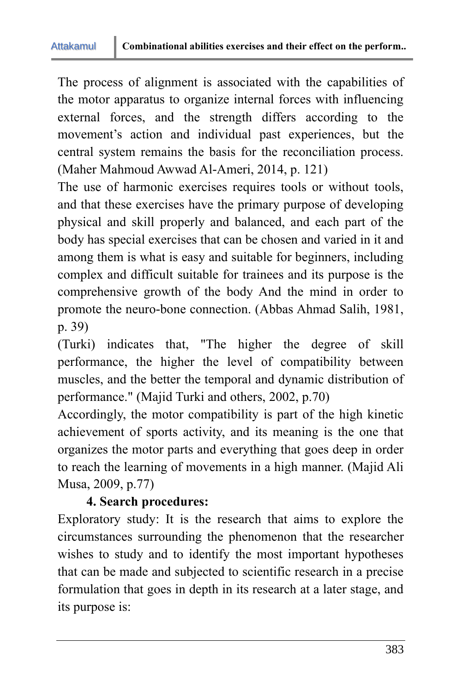Attakamul

The process of alignment is associated with the capabilities of the motor apparatus to organize internal forces with influencing external forces, and the strength differs according to the movement's action and individual past experiences, but the central system remains the basis for the reconciliation process. (Maher Mahmoud Awwad Al-Ameri, 2014, p. 121)

The use of harmonic exercises requires tools or without tools, and that these exercises have the primary purpose of developing physical and skill properly and balanced, and each part of the body has special exercises that can be chosen and varied in it and among them is what is easy and suitable for beginners, including complex and difficult suitable for trainees and its purpose is the comprehensive growth of the body And the mind in order to promote the neuro-bone connection. (Abbas Ahmad Salih, 1981, p. 39)

(Turki) indicates that, "The higher the degree of skill performance, the higher the level of compatibility between muscles, and the better the temporal and dynamic distribution of performance." (Majid Turki and others, 2002, p.70)

Accordingly, the motor compatibility is part of the high kinetic achievement of sports activity, and its meaning is the one that organizes the motor parts and everything that goes deep in order to reach the learning of movements in a high manner. (Majid Ali Musa, 2009, p.77)

# **4. Search procedures:**

Exploratory study: It is the research that aims to explore the circumstances surrounding the phenomenon that the researcher wishes to study and to identify the most important hypotheses that can be made and subjected to scientific research in a precise formulation that goes in depth in its research at a later stage, and its purpose is: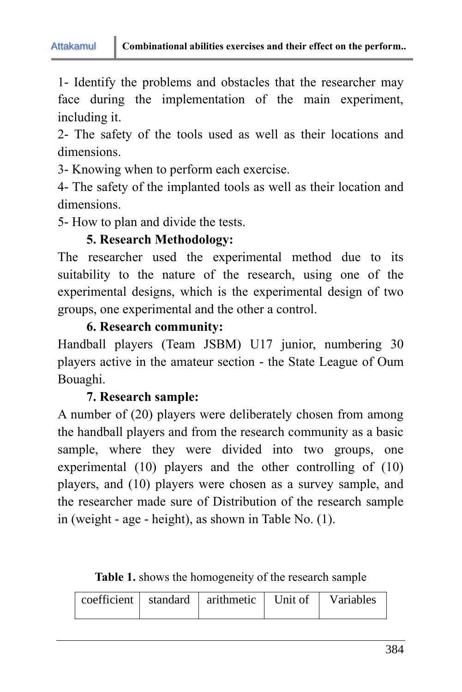1- Identify the problems and obstacles that the researcher may face during the implementation of the main experiment, including it.

2- The safety of the tools used as well as their locations and dimensions.

3- Knowing when to perform each exercise.

4- The safety of the implanted tools as well as their location and dimensions.

5- How to plan and divide the tests.

# **5. Research Methodology:**

The researcher used the experimental method due to its suitability to the nature of the research, using one of the experimental designs, which is the experimental design of two groups, one experimental and the other a control.

### **6. Research community:**

Handball players (Team JSBM) U17 junior, numbering 30 players active in the amateur section - the State League of Oum Bouaghi.

# **7. Research sample:**

A number of (20) players were deliberately chosen from among the handball players and from the research community as a basic sample, where they were divided into two groups, one experimental (10) players and the other controlling of (10) players, and (10) players were chosen as a survey sample, and the researcher made sure of Distribution of the research sample in (weight - age - height), as shown in Table No. (1).

**Table 1.** shows the homogeneity of the research sample

|  |  | $\vert$ coefficient $\vert$ standard $\vert$ arithmetic $\vert$ Unit of $\vert$ |  | Variables |
|--|--|---------------------------------------------------------------------------------|--|-----------|
|--|--|---------------------------------------------------------------------------------|--|-----------|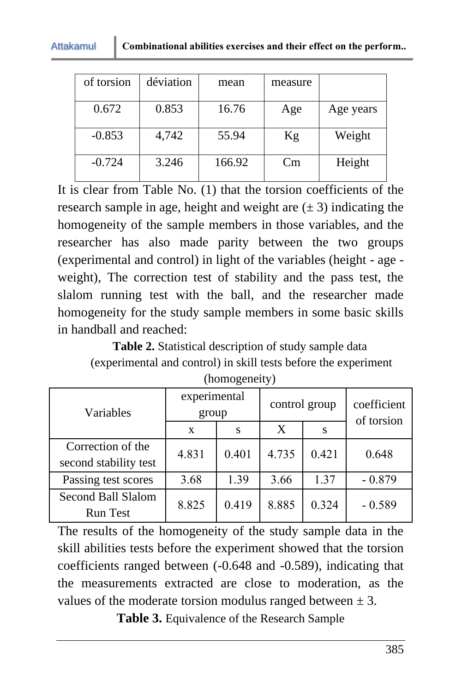#### Attakamul

| of torsion | déviation | mean   | measure |           |
|------------|-----------|--------|---------|-----------|
| 0.672      | 0.853     | 16.76  | Age     | Age years |
| $-0.853$   | 4,742     | 55.94  | Kg      | Weight    |
| $-0.724$   | 3.246     | 166.92 | Cm      | Height    |

It is clear from Table No. (1) that the torsion coefficients of the research sample in age, height and weight are  $(\pm 3)$  indicating the homogeneity of the sample members in those variables, and the researcher has also made parity between the two groups (experimental and control) in light of the variables (height - age weight), The correction test of stability and the pass test, the slalom running test with the ball, and the researcher made homogeneity for the study sample members in some basic skills in handball and reached:

**Table 2.** Statistical description of study sample data (experimental and control) in skill tests before the experiment (homogeneity)

| Variables                                    | experimental<br>group |       |       | control group | coefficient<br>of torsion |  |
|----------------------------------------------|-----------------------|-------|-------|---------------|---------------------------|--|
|                                              | X                     | S     | X     | S             |                           |  |
| Correction of the<br>second stability test   | 4.831                 | 0.401 | 4.735 | 0.421         | 0.648                     |  |
| Passing test scores                          | 3.68                  | 1.39  | 3.66  | 1.37          | $-0.879$                  |  |
| <b>Second Ball Slalom</b><br><b>Run Test</b> | 8.825                 | 0.419 | 8.885 | 0.324         | $-0.589$                  |  |

The results of the homogeneity of the study sample data in the skill abilities tests before the experiment showed that the torsion coefficients ranged between (-0.648 and -0.589), indicating that the measurements extracted are close to moderation, as the values of the moderate torsion modulus ranged between  $\pm 3$ .

**Table 3.** Equivalence of the Research Sample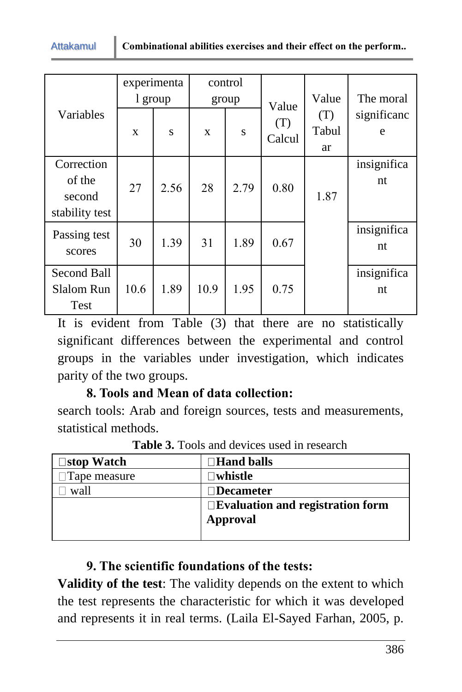|                                                  |              | experimenta |              | control |               |                    |                   |
|--------------------------------------------------|--------------|-------------|--------------|---------|---------------|--------------------|-------------------|
|                                                  |              | 1 group     |              | group   | Value         | Value              | The moral         |
| Variables                                        | $\mathbf{x}$ | S           | $\mathbf{x}$ | S       | (T)<br>Calcul | (T)<br>Tabul<br>ar | significanc<br>e  |
| Correction<br>of the<br>second<br>stability test | 27           | 2.56        | 28           | 2.79    | 0.80          | 1.87               | insignifica<br>nt |
| Passing test<br>scores                           | 30           | 1.39        | 31           | 1.89    | 0.67          |                    | insignifica<br>nt |
| Second Ball<br><b>Slalom Run</b><br><b>Test</b>  | 10.6         | 1.89        | 10.9         | 1.95    | 0.75          |                    | insignifica<br>nt |

It is evident from Table (3) that there are no statistically significant differences between the experimental and control groups in the variables under investigation, which indicates parity of the two groups.

# **8. Tools and Mean of data collection:**

Attakamul

search tools: Arab and foreign sources, tests and measurements, statistical methods.

| ∃stop Watch  | $\Box$ Hand balls                 |
|--------------|-----------------------------------|
| Tape measure | ∃whistle                          |
| wall         | $\Box$ Decameter                  |
|              | □Evaluation and registration form |
|              | Approval                          |
|              |                                   |

**Table 3.** Tools and devices used in research

### **9. The scientific foundations of the tests:**

**Validity of the test**: The validity depends on the extent to which the test represents the characteristic for which it was developed and represents it in real terms. (Laila El-Sayed Farhan, 2005, p.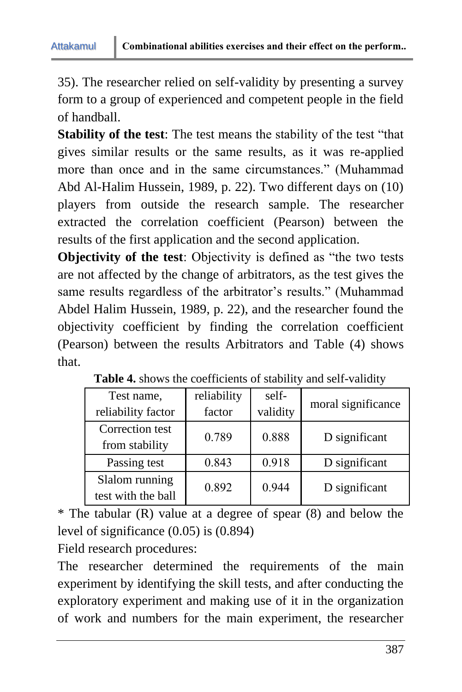35). The researcher relied on self-validity by presenting a survey form to a group of experienced and competent people in the field of handball.

**Stability of the test**: The test means the stability of the test "that gives similar results or the same results, as it was re-applied more than once and in the same circumstances." (Muhammad Abd Al-Halim Hussein, 1989, p. 22). Two different days on (10) players from outside the research sample. The researcher extracted the correlation coefficient (Pearson) between the results of the first application and the second application.

**Objectivity of the test**: Objectivity is defined as "the two tests are not affected by the change of arbitrators, as the test gives the same results regardless of the arbitrator's results." (Muhammad Abdel Halim Hussein, 1989, p. 22), and the researcher found the objectivity coefficient by finding the correlation coefficient (Pearson) between the results Arbitrators and Table (4) shows that.

| Test name,<br>reliability factor     | reliability<br>factor | self-<br>validity | moral significance |
|--------------------------------------|-----------------------|-------------------|--------------------|
| Correction test<br>from stability    | 0.789                 | 0.888             | D significant      |
| Passing test                         | 0.843                 | 0.918             | D significant      |
| Slalom running<br>test with the ball | 0.892                 | 0.944             | D significant      |

|  |  |  | Table 4. shows the coefficients of stability and self-validity |  |  |  |  |  |
|--|--|--|----------------------------------------------------------------|--|--|--|--|--|
|--|--|--|----------------------------------------------------------------|--|--|--|--|--|

\* The tabular (R) value at a degree of spear (8) and below the level of significance (0.05) is (0.894)

Field research procedures:

The researcher determined the requirements of the main experiment by identifying the skill tests, and after conducting the exploratory experiment and making use of it in the organization of work and numbers for the main experiment, the researcher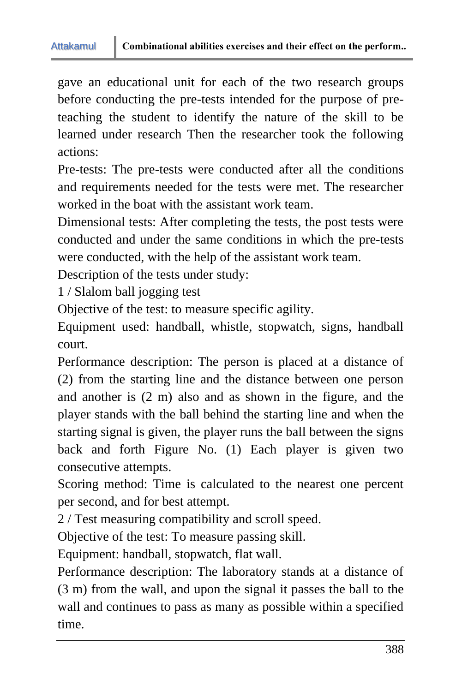gave an educational unit for each of the two research groups before conducting the pre-tests intended for the purpose of preteaching the student to identify the nature of the skill to be learned under research Then the researcher took the following actions:

Pre-tests: The pre-tests were conducted after all the conditions and requirements needed for the tests were met. The researcher worked in the boat with the assistant work team.

Dimensional tests: After completing the tests, the post tests were conducted and under the same conditions in which the pre-tests were conducted, with the help of the assistant work team.

Description of the tests under study:

1 / Slalom ball jogging test

Objective of the test: to measure specific agility.

Equipment used: handball, whistle, stopwatch, signs, handball court.

Performance description: The person is placed at a distance of (2) from the starting line and the distance between one person and another is (2 m) also and as shown in the figure, and the player stands with the ball behind the starting line and when the starting signal is given, the player runs the ball between the signs back and forth Figure No. (1) Each player is given two consecutive attempts.

Scoring method: Time is calculated to the nearest one percent per second, and for best attempt.

2 / Test measuring compatibility and scroll speed.

Objective of the test: To measure passing skill.

Equipment: handball, stopwatch, flat wall.

Performance description: The laboratory stands at a distance of (3 m) from the wall, and upon the signal it passes the ball to the wall and continues to pass as many as possible within a specified time.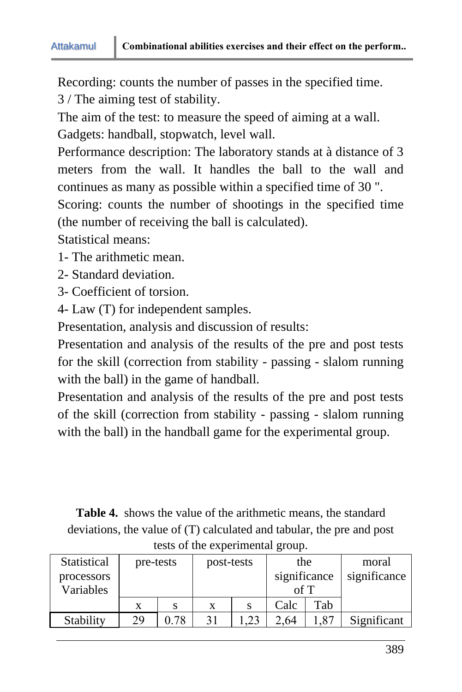Recording: counts the number of passes in the specified time. 3 / The aiming test of stability.

The aim of the test: to measure the speed of aiming at a wall.

Gadgets: handball, stopwatch, level wall.

Performance description: The laboratory stands at à distance of 3 meters from the wall. It handles the ball to the wall and continues as many as possible within a specified time of 30 ".

Scoring: counts the number of shootings in the specified time (the number of receiving the ball is calculated).

Statistical means:

- 1- The arithmetic mean.
- 2- Standard deviation.
- 3- Coefficient of torsion.
- 4- Law (T) for independent samples.

Presentation, analysis and discussion of results:

Presentation and analysis of the results of the pre and post tests for the skill (correction from stability - passing - slalom running with the ball) in the game of handball.

Presentation and analysis of the results of the pre and post tests of the skill (correction from stability - passing - slalom running with the ball) in the handball game for the experimental group.

**Table 4.** shows the value of the arithmetic means, the standard deviations, the value of (T) calculated and tabular, the pre and post tests of the experimental group.

| Statistical<br>processors | pre-tests |      |   | post-tests |      | the<br>significance | moral<br>significance |
|---------------------------|-----------|------|---|------------|------|---------------------|-----------------------|
| Variables                 |           |      |   |            |      |                     |                       |
|                           | X         | S    | X | S          | Calc | Tab                 |                       |
| Stability                 | 29        | 0.78 |   | 23         | 2.64 | .87                 | Significant           |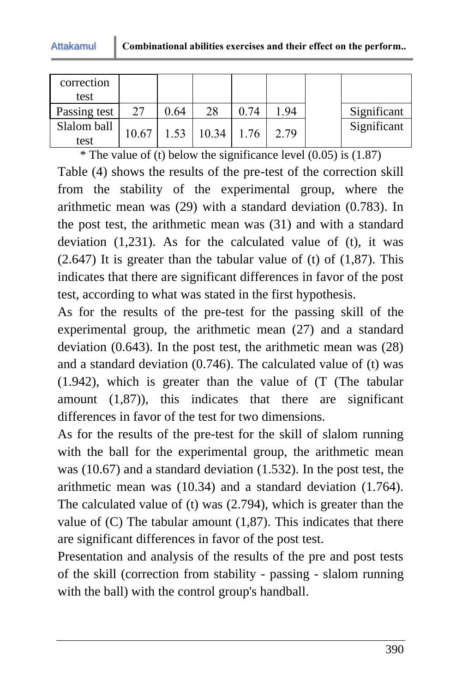| correction<br>test  |       |      |                |      |      |             |
|---------------------|-------|------|----------------|------|------|-------------|
| Passing test        | 27    | 0.64 | 28             | 0.74 | 1.94 | Significant |
| Slalom ball<br>test | 10.67 |      | $1.53$   10.34 | 1.76 | 2.79 | Significant |

\* The value of (t) below the significance level  $(0.05)$  is  $(1.87)$ Table (4) shows the results of the pre-test of the correction skill from the stability of the experimental group, where the arithmetic mean was (29) with a standard deviation (0.783). In the post test, the arithmetic mean was (31) and with a standard deviation  $(1,231)$ . As for the calculated value of  $(t)$ , it was  $(2.647)$  It is greater than the tabular value of (t) of  $(1,87)$ . This indicates that there are significant differences in favor of the post test, according to what was stated in the first hypothesis.

As for the results of the pre-test for the passing skill of the experimental group, the arithmetic mean (27) and a standard deviation (0.643). In the post test, the arithmetic mean was (28) and a standard deviation (0.746). The calculated value of (t) was (1.942), which is greater than the value of (T (The tabular amount (1,87)), this indicates that there are significant differences in favor of the test for two dimensions.

As for the results of the pre-test for the skill of slalom running with the ball for the experimental group, the arithmetic mean was (10.67) and a standard deviation (1.532). In the post test, the arithmetic mean was (10.34) and a standard deviation (1.764). The calculated value of (t) was (2.794), which is greater than the value of  $(C)$  The tabular amount  $(1,87)$ . This indicates that there are significant differences in favor of the post test.

Presentation and analysis of the results of the pre and post tests of the skill (correction from stability - passing - slalom running with the ball) with the control group's handball.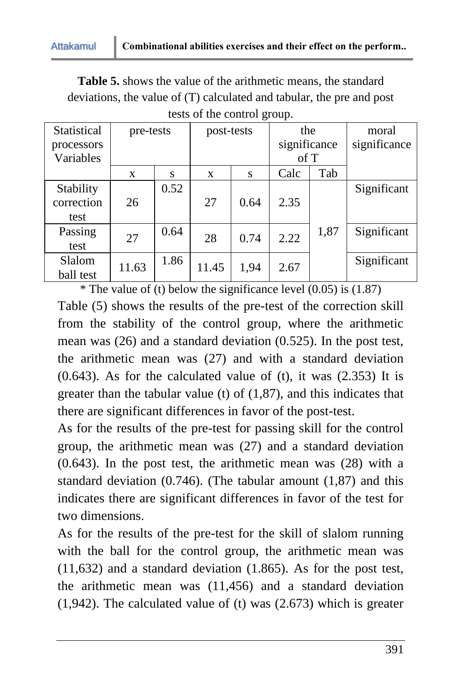**Table 5.** shows the value of the arithmetic means, the standard deviations, the value of (T) calculated and tabular, the pre and post tests of the control group.

| Statistical | pre-tests |      |       | post-tests |              | the  | moral        |
|-------------|-----------|------|-------|------------|--------------|------|--------------|
| processors  |           |      |       |            | significance |      | significance |
| Variables   |           |      |       |            | of T         |      |              |
|             | X         | S    | X     | S          | Calc         | Tab  |              |
| Stability   |           | 0.52 |       |            |              |      | Significant  |
| correction  | 26        |      | 27    | 0.64       | 2.35         |      |              |
| test        |           |      |       |            |              |      |              |
| Passing     | 27        | 0.64 | 28    | 0.74       | 2.22         | 1,87 | Significant  |
| test        |           |      |       |            |              |      |              |
| Slalom      |           | 1.86 |       |            |              |      | Significant  |
| ball test   | 11.63     |      | 11.45 | 1,94       | 2.67         |      |              |

\* The value of (t) below the significance level  $(0.05)$  is  $(1.87)$ Table (5) shows the results of the pre-test of the correction skill from the stability of the control group, where the arithmetic mean was (26) and a standard deviation (0.525). In the post test, the arithmetic mean was (27) and with a standard deviation  $(0.643)$ . As for the calculated value of (t), it was  $(2.353)$  It is greater than the tabular value (t) of (1,87), and this indicates that there are significant differences in favor of the post-test.

As for the results of the pre-test for passing skill for the control group, the arithmetic mean was (27) and a standard deviation (0.643). In the post test, the arithmetic mean was (28) with a standard deviation (0.746). (The tabular amount (1,87) and this indicates there are significant differences in favor of the test for two dimensions.

As for the results of the pre-test for the skill of slalom running with the ball for the control group, the arithmetic mean was (11,632) and a standard deviation (1.865). As for the post test, the arithmetic mean was (11,456) and a standard deviation (1,942). The calculated value of (t) was (2.673) which is greater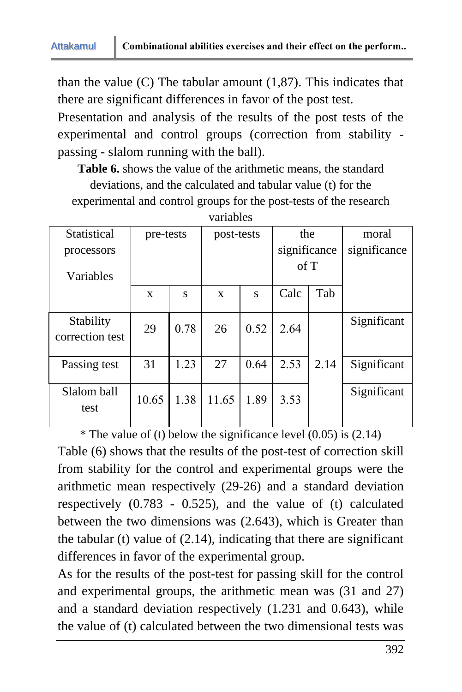than the value  $(C)$  The tabular amount  $(1,87)$ . This indicates that there are significant differences in favor of the post test.

Presentation and analysis of the results of the post tests of the experimental and control groups (correction from stability passing - slalom running with the ball).

**Table 6.** shows the value of the arithmetic means, the standard deviations, and the calculated and tabular value (t) for the

experimental and control groups for the post-tests of the research

| Statistical                  | pre-tests    |      |              | post-tests |              | the  | moral        |
|------------------------------|--------------|------|--------------|------------|--------------|------|--------------|
| processors                   |              |      |              |            | significance |      | significance |
| Variables                    |              |      |              |            | of T         |      |              |
|                              | $\mathbf{x}$ | S    | $\mathbf{x}$ | S          | Calc         | Tab  |              |
| Stability<br>correction test | 29           | 0.78 | 26           | 0.52       | 2.64         |      | Significant  |
| Passing test                 | 31           | 1.23 | 27           | 0.64       | 2.53         | 2.14 | Significant  |
| Slalom ball<br>test          | 10.65        | 1.38 | 11.65        | 1.89       | 3.53         |      | Significant  |

variables

\* The value of (t) below the significance level  $(0.05)$  is  $(2.14)$ Table (6) shows that the results of the post-test of correction skill from stability for the control and experimental groups were the arithmetic mean respectively (29-26) and a standard deviation respectively (0.783 - 0.525), and the value of (t) calculated between the two dimensions was (2.643), which is Greater than the tabular (t) value of  $(2.14)$ , indicating that there are significant differences in favor of the experimental group.

As for the results of the post-test for passing skill for the control and experimental groups, the arithmetic mean was (31 and 27) and a standard deviation respectively (1.231 and 0.643), while the value of (t) calculated between the two dimensional tests was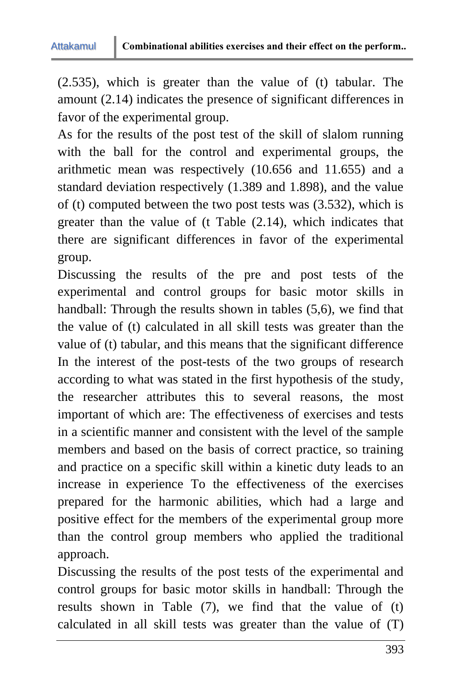(2.535), which is greater than the value of (t) tabular. The amount (2.14) indicates the presence of significant differences in favor of the experimental group.

As for the results of the post test of the skill of slalom running with the ball for the control and experimental groups, the arithmetic mean was respectively (10.656 and 11.655) and a standard deviation respectively (1.389 and 1.898), and the value of (t) computed between the two post tests was (3.532), which is greater than the value of (t Table (2.14), which indicates that there are significant differences in favor of the experimental group.

Discussing the results of the pre and post tests of the experimental and control groups for basic motor skills in handball: Through the results shown in tables (5,6), we find that the value of (t) calculated in all skill tests was greater than the value of (t) tabular, and this means that the significant difference In the interest of the post-tests of the two groups of research according to what was stated in the first hypothesis of the study, the researcher attributes this to several reasons, the most important of which are: The effectiveness of exercises and tests in a scientific manner and consistent with the level of the sample members and based on the basis of correct practice, so training and practice on a specific skill within a kinetic duty leads to an increase in experience To the effectiveness of the exercises prepared for the harmonic abilities, which had a large and positive effect for the members of the experimental group more than the control group members who applied the traditional approach.

Discussing the results of the post tests of the experimental and control groups for basic motor skills in handball: Through the results shown in Table (7), we find that the value of (t) calculated in all skill tests was greater than the value of (T)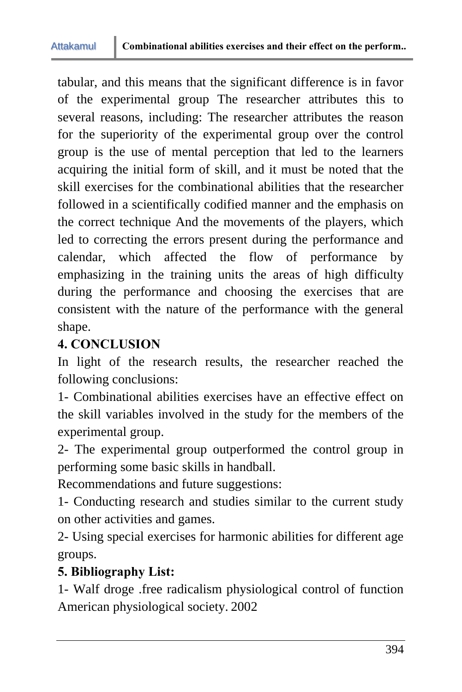tabular, and this means that the significant difference is in favor of the experimental group The researcher attributes this to several reasons, including: The researcher attributes the reason for the superiority of the experimental group over the control group is the use of mental perception that led to the learners acquiring the initial form of skill, and it must be noted that the skill exercises for the combinational abilities that the researcher followed in a scientifically codified manner and the emphasis on the correct technique And the movements of the players, which led to correcting the errors present during the performance and calendar, which affected the flow of performance by emphasizing in the training units the areas of high difficulty during the performance and choosing the exercises that are consistent with the nature of the performance with the general shape.

# **4. CONCLUSION**

In light of the research results, the researcher reached the following conclusions:

1- Combinational abilities exercises have an effective effect on the skill variables involved in the study for the members of the experimental group.

2- The experimental group outperformed the control group in performing some basic skills in handball.

Recommendations and future suggestions:

1- Conducting research and studies similar to the current study on other activities and games.

2- Using special exercises for harmonic abilities for different age groups.

# **5. Bibliography List:**

1- Walf droge .free radicalism physiological control of function American physiological society. 2002